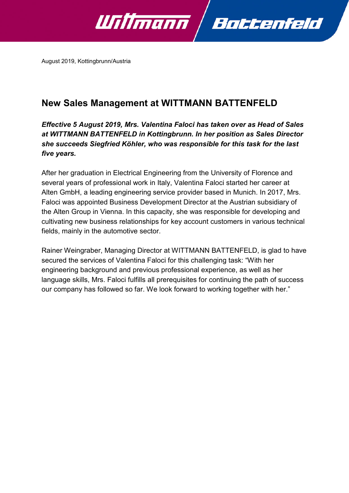

August 2019, Kottingbrunn/Austria

## **New Sales Management at WITTMANN BATTENFELD**

*Effective 5 August 2019, Mrs. Valentina Faloci has taken over as Head of Sales at WITTMANN BATTENFELD in Kottingbrunn. In her position as Sales Director she succeeds Siegfried Köhler, who was responsible for this task for the last five years.*

After her graduation in Electrical Engineering from the University of Florence and several years of professional work in Italy, Valentina Faloci started her career at Alten GmbH, a leading engineering service provider based in Munich. In 2017, Mrs. Faloci was appointed Business Development Director at the Austrian subsidiary of the Alten Group in Vienna. In this capacity, she was responsible for developing and cultivating new business relationships for key account customers in various technical fields, mainly in the automotive sector.

Rainer Weingraber, Managing Director at WITTMANN BATTENFELD, is glad to have secured the services of Valentina Faloci for this challenging task: "With her engineering background and previous professional experience, as well as her language skills, Mrs. Faloci fulfills all prerequisites for continuing the path of success our company has followed so far. We look forward to working together with her."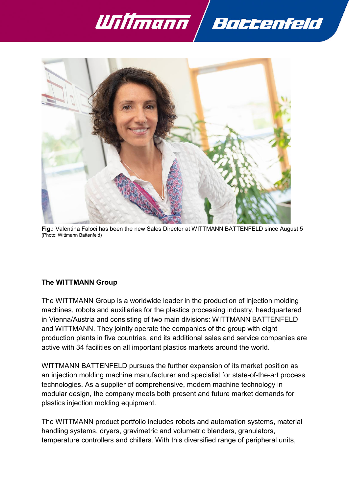



**Fig.:** Valentina Faloci has been the new Sales Director at WITTMANN BATTENFELD since August 5 (Photo: Wittmann Battenfeld)

## **The WITTMANN Group**

The WITTMANN Group is a worldwide leader in the production of injection molding machines, robots and auxiliaries for the plastics processing industry, headquartered in Vienna/Austria and consisting of two main divisions: WITTMANN BATTENFELD and WITTMANN. They jointly operate the companies of the group with eight production plants in five countries, and its additional sales and service companies are active with 34 facilities on all important plastics markets around the world.

WITTMANN BATTENFELD pursues the further expansion of its market position as an injection molding machine manufacturer and specialist for state-of-the-art process technologies. As a supplier of comprehensive, modern machine technology in modular design, the company meets both present and future market demands for plastics injection molding equipment.

The WITTMANN product portfolio includes robots and automation systems, material handling systems, dryers, gravimetric and volumetric blenders, granulators, temperature controllers and chillers. With this diversified range of peripheral units,